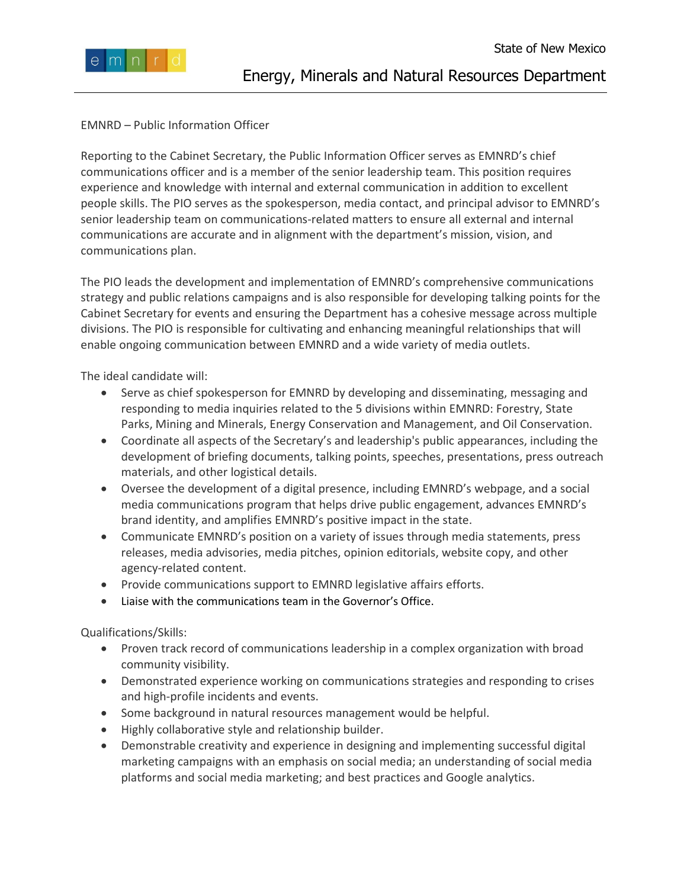

## EMNRD – Public Information Officer

Reporting to the Cabinet Secretary, the Public Information Officer serves as EMNRD's chief communications officer and is a member of the senior leadership team. This position requires experience and knowledge with internal and external communication in addition to excellent people skills. The PIO serves as the spokesperson, media contact, and principal advisor to EMNRD's senior leadership team on communications-related matters to ensure all external and internal communications are accurate and in alignment with the department's mission, vision, and communications plan.

The PIO leads the development and implementation of EMNRD's comprehensive communications strategy and public relations campaigns and is also responsible for developing talking points for the Cabinet Secretary for events and ensuring the Department has a cohesive message across multiple divisions. The PIO is responsible for cultivating and enhancing meaningful relationships that will enable ongoing communication between EMNRD and a wide variety of media outlets.

The ideal candidate will:

- Serve as chief spokesperson for EMNRD by developing and disseminating, messaging and responding to media inquiries related to the 5 divisions within EMNRD: Forestry, State Parks, Mining and Minerals, Energy Conservation and Management, and Oil Conservation.
- Coordinate all aspects of the Secretary's and leadership's public appearances, including the development of briefing documents, talking points, speeches, presentations, press outreach materials, and other logistical details.
- Oversee the development of a digital presence, including EMNRD's webpage, and a social media communications program that helps drive public engagement, advances EMNRD's brand identity, and amplifies EMNRD's positive impact in the state.
- Communicate EMNRD's position on a variety of issues through media statements, press releases, media advisories, media pitches, opinion editorials, website copy, and other agency-related content.
- Provide communications support to EMNRD legislative affairs efforts.
- Liaise with the communications team in the Governor's Office.

Qualifications/Skills:

- Proven track record of communications leadership in a complex organization with broad community visibility.
- Demonstrated experience working on communications strategies and responding to crises and high-profile incidents and events.
- Some background in natural resources management would be helpful.
- Highly collaborative style and relationship builder.
- Demonstrable creativity and experience in designing and implementing successful digital marketing campaigns with an emphasis on social media; an understanding of social media platforms and social media marketing; and best practices and Google analytics.